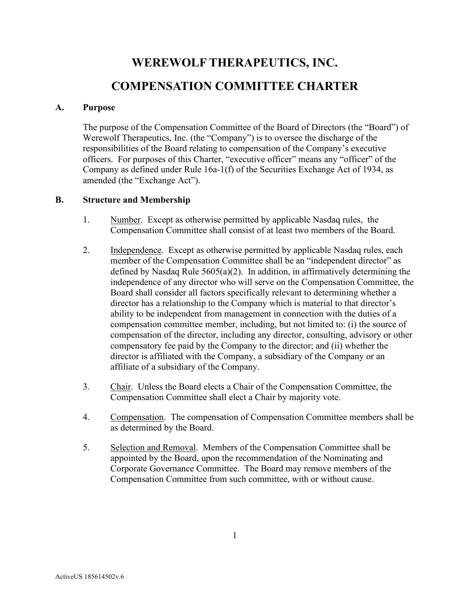# **WEREWOLF THERAPEUTICS, INC. COMPENSATION COMMITTEE CHARTER**

#### **A. Purpose**

The purpose of the Compensation Committee of the Board of Directors (the "Board") of Werewolf Therapeutics, Inc. (the "Company") is to oversee the discharge of the responsibilities of the Board relating to compensation of the Company's executive officers. For purposes of this Charter, "executive officer" means any "officer" of the Company as defined under Rule 16a-1(f) of the Securities Exchange Act of 1934, as amended (the "Exchange Act").

#### **B. Structure and Membership**

- 1. Number. Except as otherwise permitted by applicable Nasdaq rules, the Compensation Committee shall consist of at least two members of the Board.
- 2. Independence. Except as otherwise permitted by applicable Nasdaq rules, each member of the Compensation Committee shall be an "independent director" as defined by Nasdaq Rule  $5605(a)(2)$ . In addition, in affirmatively determining the independence of any director who will serve on the Compensation Committee, the Board shall consider all factors specifically relevant to determining whether a director has a relationship to the Company which is material to that director's ability to be independent from management in connection with the duties of a compensation committee member, including, but not limited to: (i) the source of compensation of the director, including any director, consulting, advisory or other compensatory fee paid by the Company to the director; and (ii) whether the director is affiliated with the Company, a subsidiary of the Company or an affiliate of a subsidiary of the Company.
- 3. Chair. Unless the Board elects a Chair of the Compensation Committee, the Compensation Committee shall elect a Chair by majority vote.
- 4. Compensation. The compensation of Compensation Committee members shall be as determined by the Board.
- 5. Selection and Removal. Members of the Compensation Committee shall be appointed by the Board, upon the recommendation of the Nominating and Corporate Governance Committee. The Board may remove members of the Compensation Committee from such committee, with or without cause.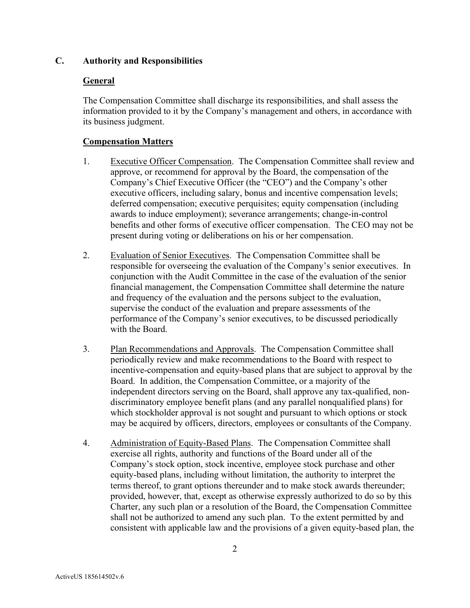## **C. Authority and Responsibilities**

## **General**

The Compensation Committee shall discharge its responsibilities, and shall assess the information provided to it by the Company's management and others, in accordance with its business judgment.

# **Compensation Matters**

- 1. Executive Officer Compensation. The Compensation Committee shall review and approve, or recommend for approval by the Board, the compensation of the Company's Chief Executive Officer (the "CEO") and the Company's other executive officers, including salary, bonus and incentive compensation levels; deferred compensation; executive perquisites; equity compensation (including awards to induce employment); severance arrangements; change-in-control benefits and other forms of executive officer compensation. The CEO may not be present during voting or deliberations on his or her compensation.
- 2. Evaluation of Senior Executives. The Compensation Committee shall be responsible for overseeing the evaluation of the Company's senior executives. In conjunction with the Audit Committee in the case of the evaluation of the senior financial management, the Compensation Committee shall determine the nature and frequency of the evaluation and the persons subject to the evaluation, supervise the conduct of the evaluation and prepare assessments of the performance of the Company's senior executives, to be discussed periodically with the Board.
- 3. Plan Recommendations and Approvals. The Compensation Committee shall periodically review and make recommendations to the Board with respect to incentive-compensation and equity-based plans that are subject to approval by the Board. In addition, the Compensation Committee, or a majority of the independent directors serving on the Board, shall approve any tax-qualified, nondiscriminatory employee benefit plans (and any parallel nonqualified plans) for which stockholder approval is not sought and pursuant to which options or stock may be acquired by officers, directors, employees or consultants of the Company.
- 4. Administration of Equity-Based Plans. The Compensation Committee shall exercise all rights, authority and functions of the Board under all of the Company's stock option, stock incentive, employee stock purchase and other equity-based plans, including without limitation, the authority to interpret the terms thereof, to grant options thereunder and to make stock awards thereunder; provided, however, that, except as otherwise expressly authorized to do so by this Charter, any such plan or a resolution of the Board, the Compensation Committee shall not be authorized to amend any such plan. To the extent permitted by and consistent with applicable law and the provisions of a given equity-based plan, the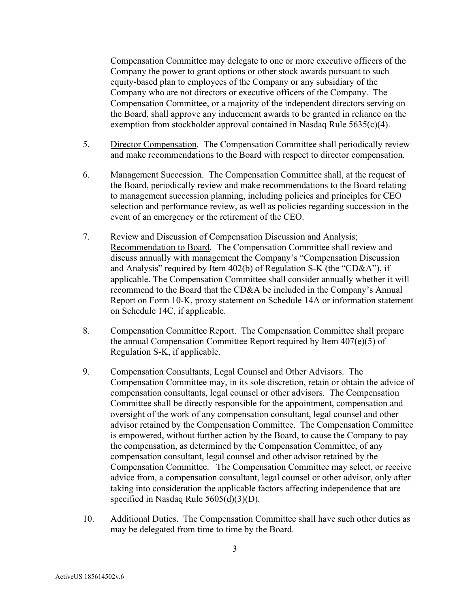Compensation Committee may delegate to one or more executive officers of the Company the power to grant options or other stock awards pursuant to such equity-based plan to employees of the Company or any subsidiary of the Company who are not directors or executive officers of the Company. The Compensation Committee, or a majority of the independent directors serving on the Board, shall approve any inducement awards to be granted in reliance on the exemption from stockholder approval contained in Nasdaq Rule 5635(c)(4).

- 5. Director Compensation. The Compensation Committee shall periodically review and make recommendations to the Board with respect to director compensation.
- 6. Management Succession. The Compensation Committee shall, at the request of the Board, periodically review and make recommendations to the Board relating to management succession planning, including policies and principles for CEO selection and performance review, as well as policies regarding succession in the event of an emergency or the retirement of the CEO.
- 7. Review and Discussion of Compensation Discussion and Analysis; Recommendation to Board. The Compensation Committee shall review and discuss annually with management the Company's "Compensation Discussion and Analysis" required by Item 402(b) of Regulation S-K (the "CD&A"), if applicable. The Compensation Committee shall consider annually whether it will recommend to the Board that the CD&A be included in the Company's Annual Report on Form 10-K, proxy statement on Schedule 14A or information statement on Schedule 14C, if applicable.
- 8. Compensation Committee Report. The Compensation Committee shall prepare the annual Compensation Committee Report required by Item 407(e)(5) of Regulation S-K, if applicable.
- 9. Compensation Consultants, Legal Counsel and Other Advisors. The Compensation Committee may, in its sole discretion, retain or obtain the advice of compensation consultants, legal counsel or other advisors. The Compensation Committee shall be directly responsible for the appointment, compensation and oversight of the work of any compensation consultant, legal counsel and other advisor retained by the Compensation Committee. The Compensation Committee is empowered, without further action by the Board, to cause the Company to pay the compensation, as determined by the Compensation Committee, of any compensation consultant, legal counsel and other advisor retained by the Compensation Committee. The Compensation Committee may select, or receive advice from, a compensation consultant, legal counsel or other advisor, only after taking into consideration the applicable factors affecting independence that are specified in Nasdaq Rule 5605(d)(3)(D).
- 10. Additional Duties. The Compensation Committee shall have such other duties as may be delegated from time to time by the Board.